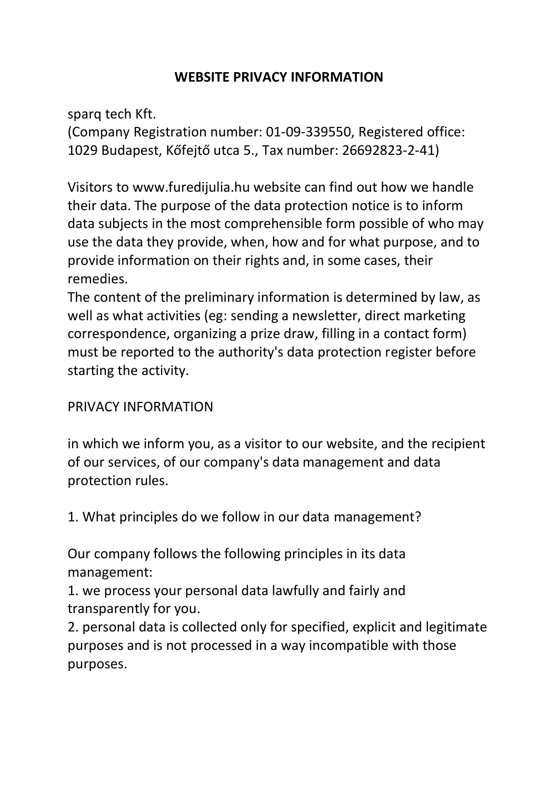## **WEBSITE PRIVACY INFORMATION**

sparq tech Kft.

(Company Registration number: 01-09-339550, Registered office: 1029 Budapest, Kőfejtő utca 5., Tax number: 26692823-2-41)

Visitors to www.furedijulia.hu website can find out how we handle their data. The purpose of the data protection notice is to inform data subjects in the most comprehensible form possible of who may use the data they provide, when, how and for what purpose, and to provide information on their rights and, in some cases, their remedies.

The content of the preliminary information is determined by law, as well as what activities (eg: sending a newsletter, direct marketing correspondence, organizing a prize draw, filling in a contact form) must be reported to the authority's data protection register before starting the activity.

## PRIVACY INFORMATION

in which we inform you, as a visitor to our website, and the recipient of our services, of our company's data management and data protection rules.

1. What principles do we follow in our data management?

Our company follows the following principles in its data management:

1. we process your personal data lawfully and fairly and transparently for you.

2. personal data is collected only for specified, explicit and legitimate purposes and is not processed in a way incompatible with those purposes.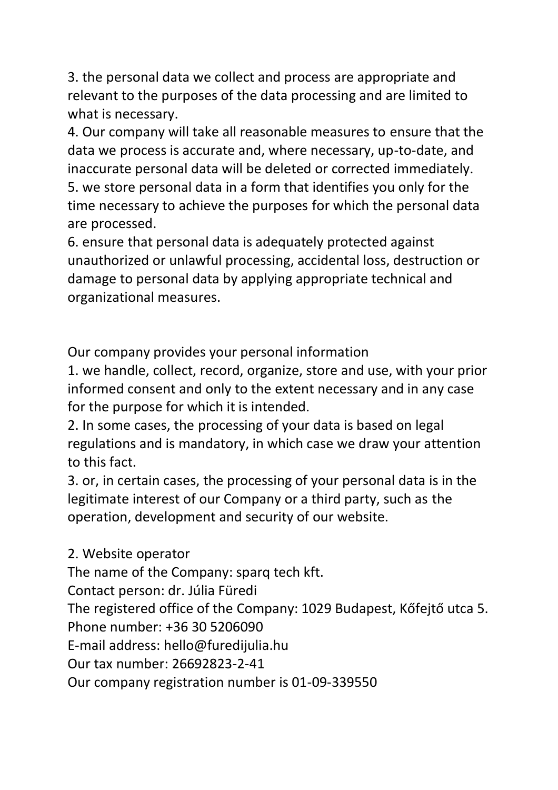3. the personal data we collect and process are appropriate and relevant to the purposes of the data processing and are limited to what is necessary.

4. Our company will take all reasonable measures to ensure that the data we process is accurate and, where necessary, up-to-date, and inaccurate personal data will be deleted or corrected immediately. 5. we store personal data in a form that identifies you only for the time necessary to achieve the purposes for which the personal data are processed.

6. ensure that personal data is adequately protected against unauthorized or unlawful processing, accidental loss, destruction or damage to personal data by applying appropriate technical and organizational measures.

Our company provides your personal information

1. we handle, collect, record, organize, store and use, with your prior informed consent and only to the extent necessary and in any case for the purpose for which it is intended.

2. In some cases, the processing of your data is based on legal regulations and is mandatory, in which case we draw your attention to this fact.

3. or, in certain cases, the processing of your personal data is in the legitimate interest of our Company or a third party, such as the operation, development and security of our website.

2. Website operator

The name of the Company: sparq tech kft.

Contact person: dr. Júlia Füredi

The registered office of the Company: 1029 Budapest, Kőfejtő utca 5.

Phone number: +36 30 5206090

E-mail address: hello@furedijulia.hu

Our tax number: 26692823-2-41

Our company registration number is 01-09-339550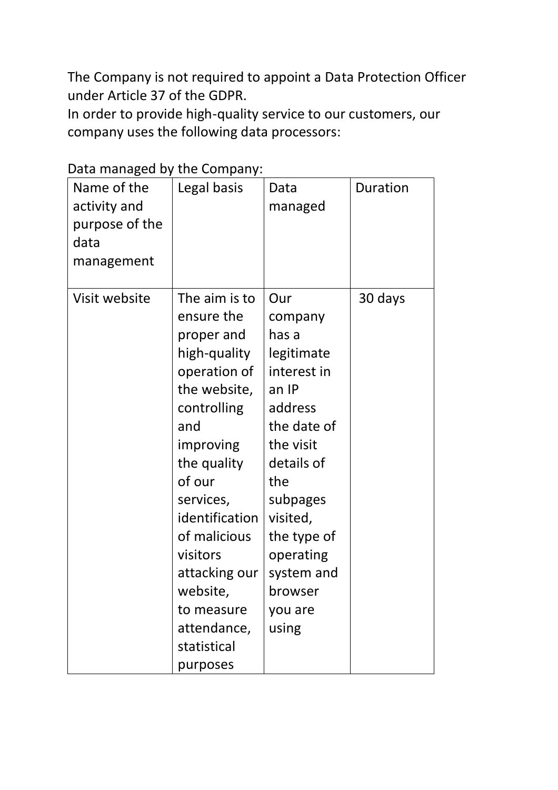The Company is not required to appoint a Data Protection Officer under Article 37 of the GDPR.

In order to provide high-quality service to our customers, our company uses the following data processors:

| Data managea by the company.<br>Name of the<br>activity and<br>purpose of the<br>data<br>management | Legal basis                                                                                                                                                                                                                                                                                           | Data<br>managed                                                                                                                                                                                                            | Duration |
|-----------------------------------------------------------------------------------------------------|-------------------------------------------------------------------------------------------------------------------------------------------------------------------------------------------------------------------------------------------------------------------------------------------------------|----------------------------------------------------------------------------------------------------------------------------------------------------------------------------------------------------------------------------|----------|
| Visit website                                                                                       | The aim is to<br>ensure the<br>proper and<br>high-quality<br>operation of<br>the website,<br>controlling<br>and<br>improving<br>the quality<br>of our<br>services,<br>identification<br>of malicious<br>visitors<br>attacking our<br>website,<br>to measure<br>attendance,<br>statistical<br>purposes | Our<br>company<br>has a<br>legitimate<br>interest in<br>an IP<br>address<br>the date of<br>the visit<br>details of<br>the<br>subpages<br>visited,<br>the type of<br>operating<br>system and<br>browser<br>you are<br>using | 30 days  |

## Data managed by the Company: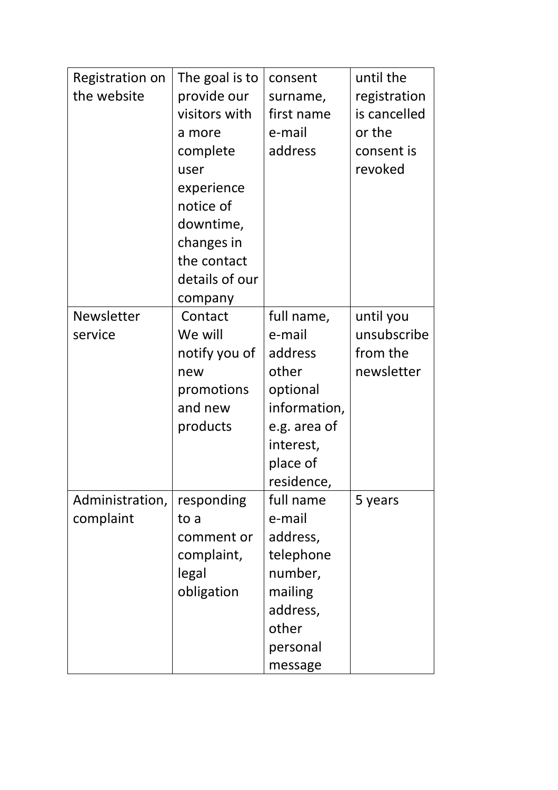| Registration on | The goal is to | consent      | until the    |
|-----------------|----------------|--------------|--------------|
| the website     | provide our    | surname,     | registration |
|                 | visitors with  | first name   | is cancelled |
|                 | a more         | e-mail       | or the       |
|                 | complete       | address      | consent is   |
|                 | user           |              | revoked      |
|                 | experience     |              |              |
|                 | notice of      |              |              |
|                 | downtime,      |              |              |
|                 | changes in     |              |              |
|                 | the contact    |              |              |
|                 | details of our |              |              |
|                 | company        |              |              |
| Newsletter      | Contact        | full name,   | until you    |
| service         | We will        | e-mail       | unsubscribe  |
|                 | notify you of  | address      | from the     |
|                 | new            | other        | newsletter   |
|                 | promotions     | optional     |              |
|                 | and new        | information, |              |
|                 | products       | e.g. area of |              |
|                 |                | interest,    |              |
|                 |                | place of     |              |
|                 |                | residence,   |              |
| Administration, | responding     | full name    | 5 years      |
| complaint       | to a           | e-mail       |              |
|                 | comment or     | address,     |              |
|                 | complaint,     | telephone    |              |
|                 | legal          | number,      |              |
|                 | obligation     | mailing      |              |
|                 |                | address,     |              |
|                 |                | other        |              |
|                 |                | personal     |              |
|                 |                | message      |              |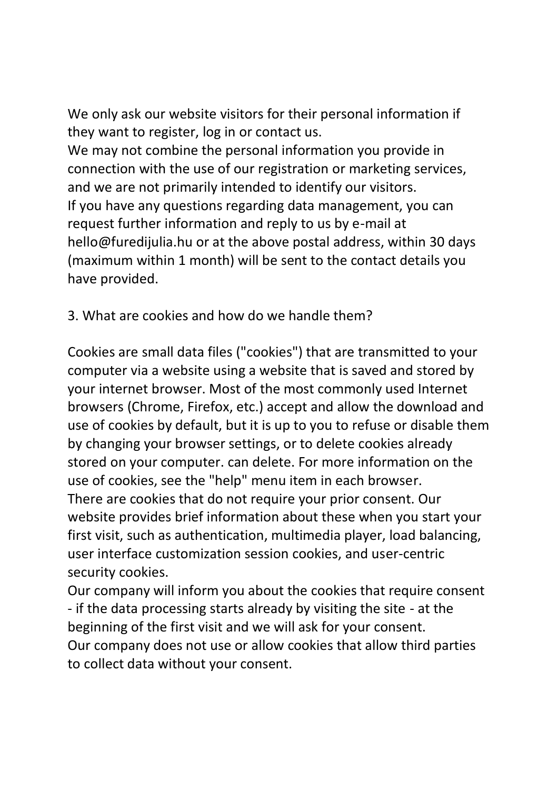We only ask our website visitors for their personal information if they want to register, log in or contact us.

We may not combine the personal information you provide in connection with the use of our registration or marketing services, and we are not primarily intended to identify our visitors. If you have any questions regarding data management, you can request further information and reply to us by e-mail at hello@furedijulia.hu or at the above postal address, within 30 days (maximum within 1 month) will be sent to the contact details you have provided.

3. What are cookies and how do we handle them?

Cookies are small data files ("cookies") that are transmitted to your computer via a website using a website that is saved and stored by your internet browser. Most of the most commonly used Internet browsers (Chrome, Firefox, etc.) accept and allow the download and use of cookies by default, but it is up to you to refuse or disable them by changing your browser settings, or to delete cookies already stored on your computer. can delete. For more information on the use of cookies, see the "help" menu item in each browser. There are cookies that do not require your prior consent. Our website provides brief information about these when you start your first visit, such as authentication, multimedia player, load balancing, user interface customization session cookies, and user-centric security cookies.

Our company will inform you about the cookies that require consent - if the data processing starts already by visiting the site - at the beginning of the first visit and we will ask for your consent. Our company does not use or allow cookies that allow third parties to collect data without your consent.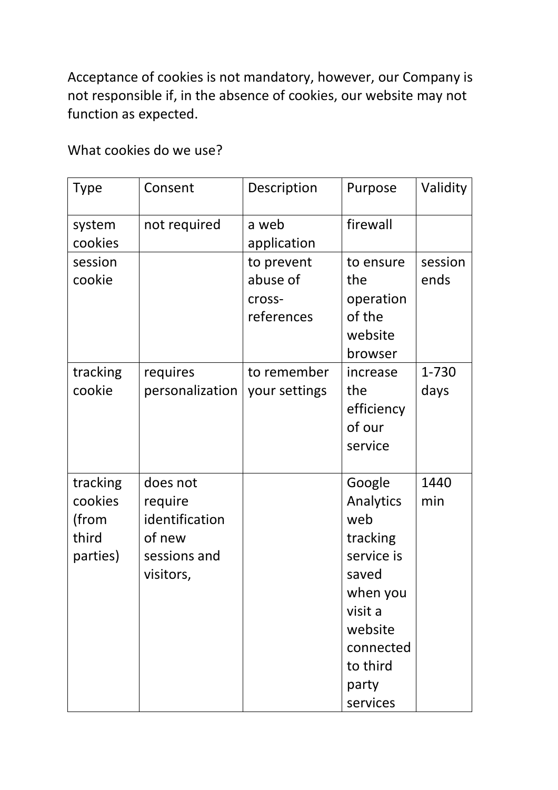Acceptance of cookies is not mandatory, however, our Company is not responsible if, in the absence of cookies, our website may not function as expected.

What cookies do we use?

| <b>Type</b>                                       | Consent                                                                      | Description                                    | Purpose                                                                                                                                       | Validity        |
|---------------------------------------------------|------------------------------------------------------------------------------|------------------------------------------------|-----------------------------------------------------------------------------------------------------------------------------------------------|-----------------|
| system<br>cookies                                 | not required                                                                 | a web<br>application                           | firewall                                                                                                                                      |                 |
| session<br>cookie                                 |                                                                              | to prevent<br>abuse of<br>cross-<br>references | to ensure<br>the<br>operation<br>of the<br>website<br>browser                                                                                 | session<br>ends |
| tracking<br>cookie                                | requires<br>personalization                                                  | to remember<br>your settings                   | increase<br>the<br>efficiency<br>of our<br>service                                                                                            | 1-730<br>days   |
| tracking<br>cookies<br>(from<br>third<br>parties) | does not<br>require<br>identification<br>of new<br>sessions and<br>visitors, |                                                | Google<br>Analytics<br>web<br>tracking<br>service is<br>saved<br>when you<br>visit a<br>website<br>connected<br>to third<br>party<br>services | 1440<br>min     |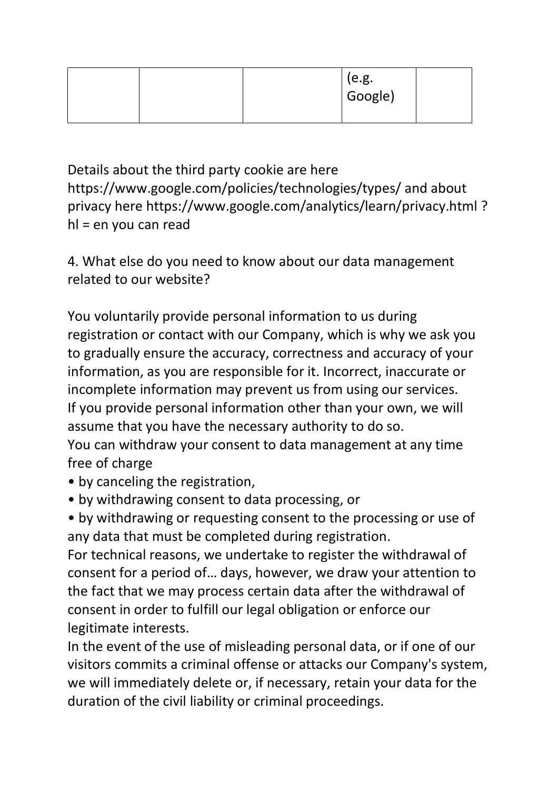|  | (e.g.<br>Google) |  |
|--|------------------|--|
|--|------------------|--|

Details about the third party cookie are here https://www.google.com/policies/technologies/types/ and about privacy here https://www.google.com/analytics/learn/privacy.html ? hl = en you can read

4. What else do you need to know about our data management related to our website?

You voluntarily provide personal information to us during registration or contact with our Company, which is why we ask you to gradually ensure the accuracy, correctness and accuracy of your information, as you are responsible for it. Incorrect, inaccurate or incomplete information may prevent us from using our services. If you provide personal information other than your own, we will assume that you have the necessary authority to do so. You can withdraw your consent to data management at any time free of charge

- by canceling the registration,
- by withdrawing consent to data processing, or

• by withdrawing or requesting consent to the processing or use of any data that must be completed during registration.

For technical reasons, we undertake to register the withdrawal of consent for a period of… days, however, we draw your attention to the fact that we may process certain data after the withdrawal of consent in order to fulfill our legal obligation or enforce our legitimate interests.

In the event of the use of misleading personal data, or if one of our visitors commits a criminal offense or attacks our Company's system, we will immediately delete or, if necessary, retain your data for the duration of the civil liability or criminal proceedings.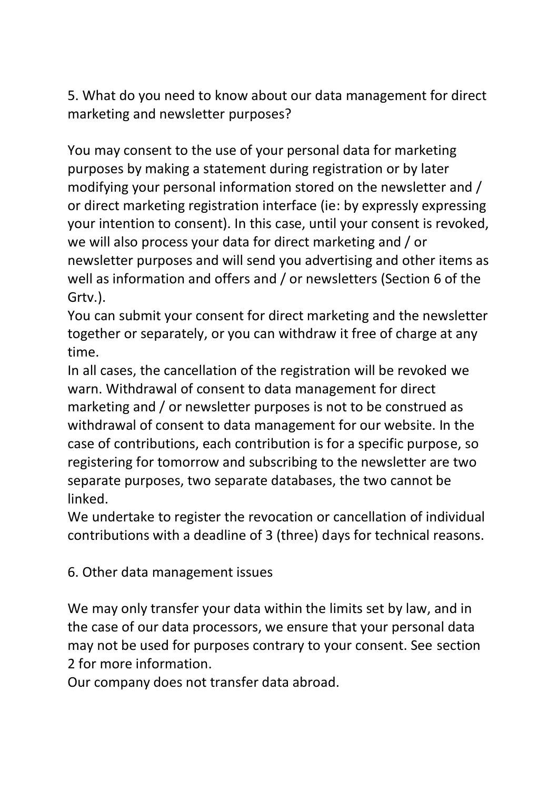5. What do you need to know about our data management for direct marketing and newsletter purposes?

You may consent to the use of your personal data for marketing purposes by making a statement during registration or by later modifying your personal information stored on the newsletter and / or direct marketing registration interface (ie: by expressly expressing your intention to consent). In this case, until your consent is revoked, we will also process your data for direct marketing and / or newsletter purposes and will send you advertising and other items as well as information and offers and / or newsletters (Section 6 of the Grtv.).

You can submit your consent for direct marketing and the newsletter together or separately, or you can withdraw it free of charge at any time.

In all cases, the cancellation of the registration will be revoked we warn. Withdrawal of consent to data management for direct marketing and / or newsletter purposes is not to be construed as withdrawal of consent to data management for our website. In the case of contributions, each contribution is for a specific purpose, so registering for tomorrow and subscribing to the newsletter are two separate purposes, two separate databases, the two cannot be linked.

We undertake to register the revocation or cancellation of individual contributions with a deadline of 3 (three) days for technical reasons.

6. Other data management issues

We may only transfer your data within the limits set by law, and in the case of our data processors, we ensure that your personal data may not be used for purposes contrary to your consent. See section 2 for more information.

Our company does not transfer data abroad.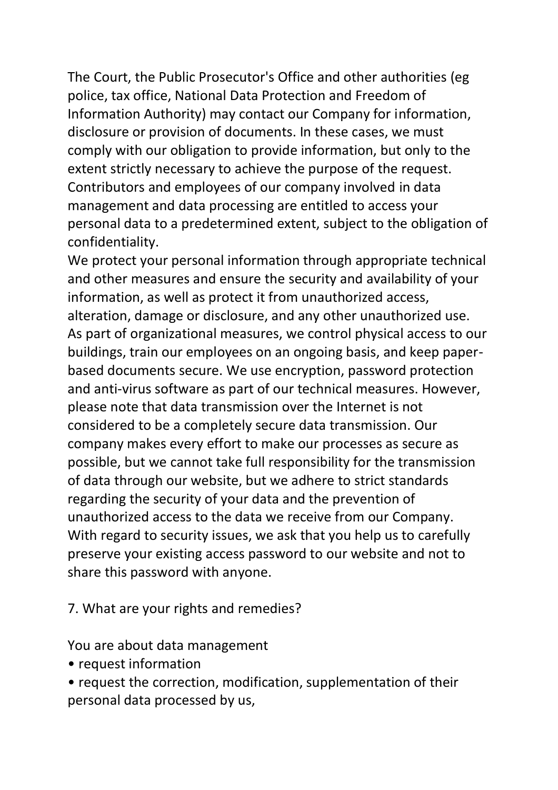The Court, the Public Prosecutor's Office and other authorities (eg police, tax office, National Data Protection and Freedom of Information Authority) may contact our Company for information, disclosure or provision of documents. In these cases, we must comply with our obligation to provide information, but only to the extent strictly necessary to achieve the purpose of the request. Contributors and employees of our company involved in data management and data processing are entitled to access your personal data to a predetermined extent, subject to the obligation of confidentiality.

We protect your personal information through appropriate technical and other measures and ensure the security and availability of your information, as well as protect it from unauthorized access, alteration, damage or disclosure, and any other unauthorized use. As part of organizational measures, we control physical access to our buildings, train our employees on an ongoing basis, and keep paperbased documents secure. We use encryption, password protection and anti-virus software as part of our technical measures. However, please note that data transmission over the Internet is not considered to be a completely secure data transmission. Our company makes every effort to make our processes as secure as possible, but we cannot take full responsibility for the transmission of data through our website, but we adhere to strict standards regarding the security of your data and the prevention of unauthorized access to the data we receive from our Company. With regard to security issues, we ask that you help us to carefully preserve your existing access password to our website and not to share this password with anyone.

7. What are your rights and remedies?

You are about data management

- request information
- request the correction, modification, supplementation of their personal data processed by us,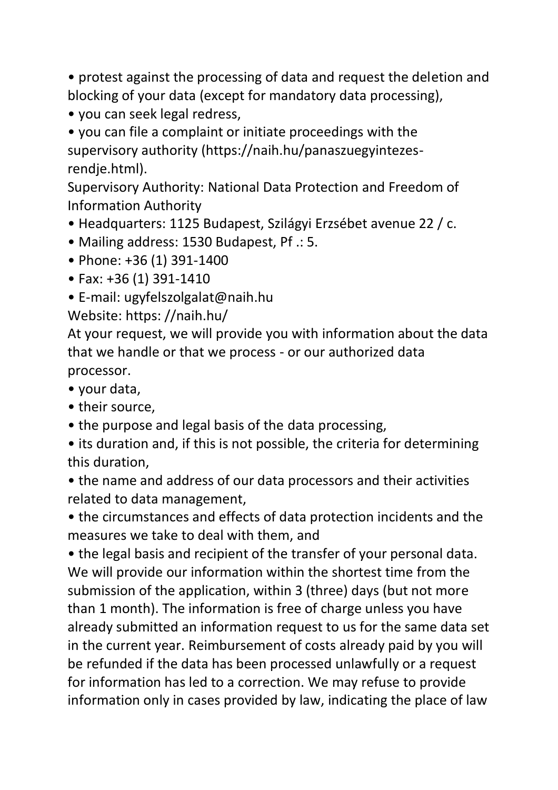• protest against the processing of data and request the deletion and blocking of your data (except for mandatory data processing),

• you can seek legal redress,

• you can file a complaint or initiate proceedings with the supervisory authority (https://naih.hu/panaszuegyintezesrendje.html).

Supervisory Authority: National Data Protection and Freedom of Information Authority

- Headquarters: 1125 Budapest, Szilágyi Erzsébet avenue 22 / c.
- Mailing address: 1530 Budapest, Pf .: 5.
- Phone: +36 (1) 391-1400
- Fax: +36 (1) 391-1410
- E-mail: ugyfelszolgalat@naih.hu

Website: https: //naih.hu/

At your request, we will provide you with information about the data that we handle or that we process - or our authorized data processor.

- your data,
- their source.
- the purpose and legal basis of the data processing,

• its duration and, if this is not possible, the criteria for determining this duration,

• the name and address of our data processors and their activities related to data management,

• the circumstances and effects of data protection incidents and the measures we take to deal with them, and

• the legal basis and recipient of the transfer of your personal data. We will provide our information within the shortest time from the submission of the application, within 3 (three) days (but not more than 1 month). The information is free of charge unless you have already submitted an information request to us for the same data set in the current year. Reimbursement of costs already paid by you will be refunded if the data has been processed unlawfully or a request for information has led to a correction. We may refuse to provide information only in cases provided by law, indicating the place of law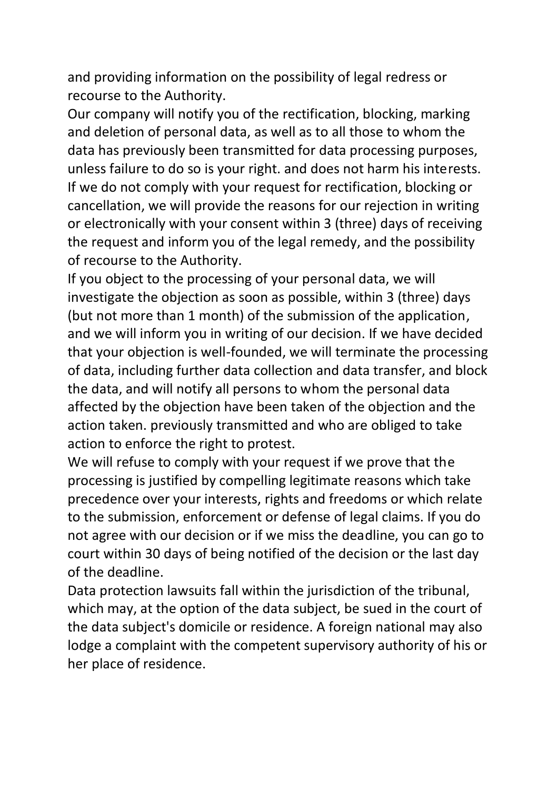and providing information on the possibility of legal redress or recourse to the Authority.

Our company will notify you of the rectification, blocking, marking and deletion of personal data, as well as to all those to whom the data has previously been transmitted for data processing purposes, unless failure to do so is your right. and does not harm his interests. If we do not comply with your request for rectification, blocking or cancellation, we will provide the reasons for our rejection in writing or electronically with your consent within 3 (three) days of receiving the request and inform you of the legal remedy, and the possibility of recourse to the Authority.

If you object to the processing of your personal data, we will investigate the objection as soon as possible, within 3 (three) days (but not more than 1 month) of the submission of the application, and we will inform you in writing of our decision. If we have decided that your objection is well-founded, we will terminate the processing of data, including further data collection and data transfer, and block the data, and will notify all persons to whom the personal data affected by the objection have been taken of the objection and the action taken. previously transmitted and who are obliged to take action to enforce the right to protest.

We will refuse to comply with your request if we prove that the processing is justified by compelling legitimate reasons which take precedence over your interests, rights and freedoms or which relate to the submission, enforcement or defense of legal claims. If you do not agree with our decision or if we miss the deadline, you can go to court within 30 days of being notified of the decision or the last day of the deadline.

Data protection lawsuits fall within the jurisdiction of the tribunal, which may, at the option of the data subject, be sued in the court of the data subject's domicile or residence. A foreign national may also lodge a complaint with the competent supervisory authority of his or her place of residence.